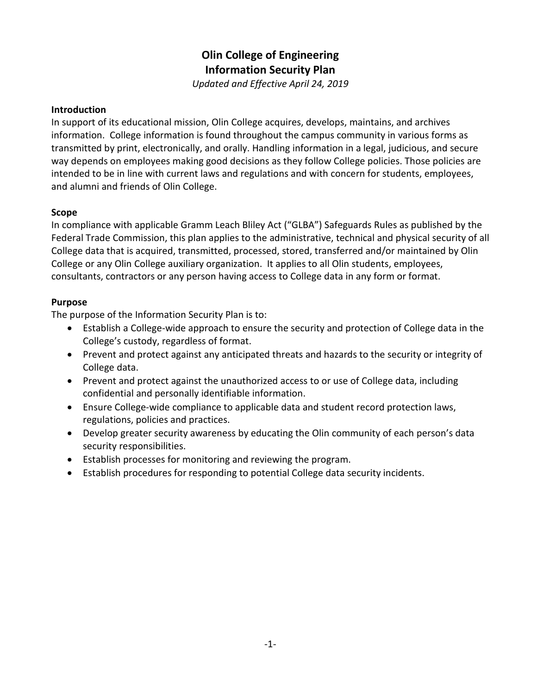# **Olin College of Engineering Information Security Plan**

*Updated and Effective April 24, 2019*

#### **Introduction**

In support of its educational mission, Olin College acquires, develops, maintains, and archives information. College information is found throughout the campus community in various forms as transmitted by print, electronically, and orally. Handling information in a legal, judicious, and secure way depends on employees making good decisions as they follow College policies. Those policies are intended to be in line with current laws and regulations and with concern for students, employees, and alumni and friends of Olin College.

#### **Scope**

In compliance with applicable Gramm Leach Bliley Act ("GLBA") Safeguards Rules as published by the Federal Trade Commission, this plan applies to the administrative, technical and physical security of all College data that is acquired, transmitted, processed, stored, transferred and/or maintained by Olin College or any Olin College auxiliary organization. It applies to all Olin students, employees, consultants, contractors or any person having access to College data in any form or format.

#### **Purpose**

The purpose of the Information Security Plan is to:

- Establish a College-wide approach to ensure the security and protection of College data in the College's custody, regardless of format.
- Prevent and protect against any anticipated threats and hazards to the security or integrity of College data.
- Prevent and protect against the unauthorized access to or use of College data, including confidential and personally identifiable information.
- Ensure College-wide compliance to applicable data and student record protection laws, regulations, policies and practices.
- Develop greater security awareness by educating the Olin community of each person's data security responsibilities.
- Establish processes for monitoring and reviewing the program.
- Establish procedures for responding to potential College data security incidents.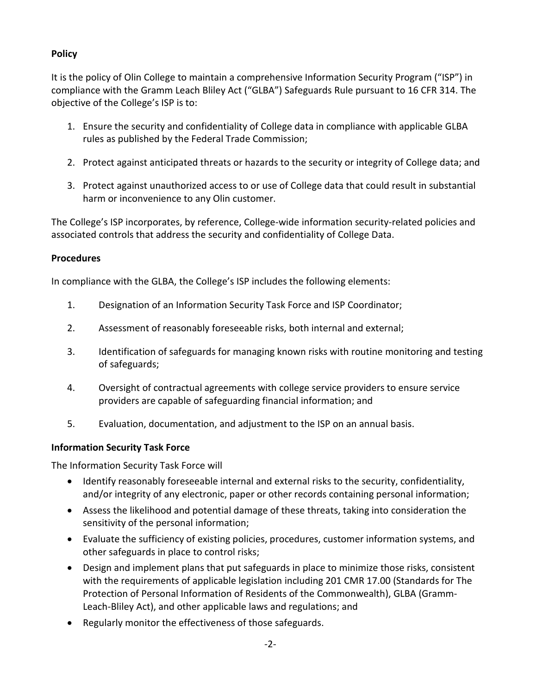## **Policy**

It is the policy of Olin College to maintain a comprehensive Information Security Program ("ISP") in compliance with the Gramm Leach Bliley Act ("GLBA") Safeguards Rule pursuant to 16 CFR 314. The objective of the College's ISP is to:

- 1. Ensure the security and confidentiality of College data in compliance with applicable GLBA rules as published by the Federal Trade Commission;
- 2. Protect against anticipated threats or hazards to the security or integrity of College data; and
- 3. Protect against unauthorized access to or use of College data that could result in substantial harm or inconvenience to any Olin customer.

The College's ISP incorporates, by reference, College-wide information security-related policies and associated controls that address the security and confidentiality of College Data.

## **Procedures**

In compliance with the GLBA, the College's ISP includes the following elements:

- 1. Designation of an Information Security Task Force and ISP Coordinator;
- 2. Assessment of reasonably foreseeable risks, both internal and external;
- 3. Identification of safeguards for managing known risks with routine monitoring and testing of safeguards;
- 4. Oversight of contractual agreements with college service providers to ensure service providers are capable of safeguarding financial information; and
- 5. Evaluation, documentation, and adjustment to the ISP on an annual basis.

## **Information Security Task Force**

The Information Security Task Force will

- Identify reasonably foreseeable internal and external risks to the security, confidentiality, and/or integrity of any electronic, paper or other records containing personal information;
- Assess the likelihood and potential damage of these threats, taking into consideration the sensitivity of the personal information;
- Evaluate the sufficiency of existing policies, procedures, customer information systems, and other safeguards in place to control risks;
- Design and implement plans that put safeguards in place to minimize those risks, consistent with the requirements of applicable legislation including 201 CMR 17.00 (Standards for The Protection of Personal Information of Residents of the Commonwealth), GLBA (Gramm-Leach-Bliley Act), and other applicable laws and regulations; and
- Regularly monitor the effectiveness of those safeguards.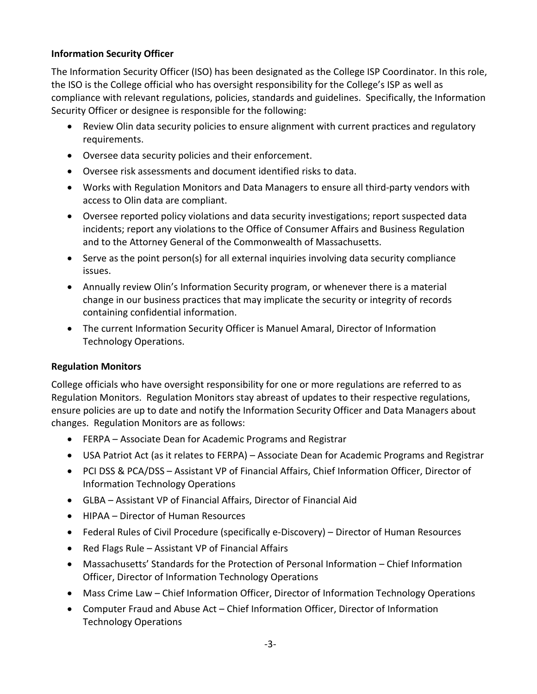## **Information Security Officer**

The Information Security Officer (ISO) has been designated as the College ISP Coordinator. In this role, the ISO is the College official who has oversight responsibility for the College's ISP as well as compliance with relevant regulations, policies, standards and guidelines. Specifically, the Information Security Officer or designee is responsible for the following:

- Review Olin data security policies to ensure alignment with current practices and regulatory requirements.
- Oversee data security policies and their enforcement.
- Oversee risk assessments and document identified risks to data.
- Works with Regulation Monitors and Data Managers to ensure all third-party vendors with access to Olin data are compliant.
- Oversee reported policy violations and data security investigations; report suspected data incidents; report any violations to the Office of Consumer Affairs and Business Regulation and to the Attorney General of the Commonwealth of Massachusetts.
- Serve as the point person(s) for all external inquiries involving data security compliance issues.
- Annually review Olin's Information Security program, or whenever there is a material change in our business practices that may implicate the security or integrity of records containing confidential information.
- The current Information Security Officer is Manuel Amaral, Director of Information Technology Operations.

## **Regulation Monitors**

College officials who have oversight responsibility for one or more regulations are referred to as Regulation Monitors. Regulation Monitors stay abreast of updates to their respective regulations, ensure policies are up to date and notify the Information Security Officer and Data Managers about changes. Regulation Monitors are as follows:

- FERPA Associate Dean for Academic Programs and Registrar
- USA Patriot Act (as it relates to FERPA) Associate Dean for Academic Programs and Registrar
- PCI DSS & PCA/DSS Assistant VP of Financial Affairs, Chief Information Officer, Director of Information Technology Operations
- GLBA Assistant VP of Financial Affairs, Director of Financial Aid
- HIPAA Director of Human Resources
- Federal Rules of Civil Procedure (specifically e-Discovery) Director of Human Resources
- Red Flags Rule Assistant VP of Financial Affairs
- Massachusetts' Standards for the Protection of Personal Information Chief Information Officer, Director of Information Technology Operations
- Mass Crime Law Chief Information Officer, Director of Information Technology Operations
- Computer Fraud and Abuse Act Chief Information Officer, Director of Information Technology Operations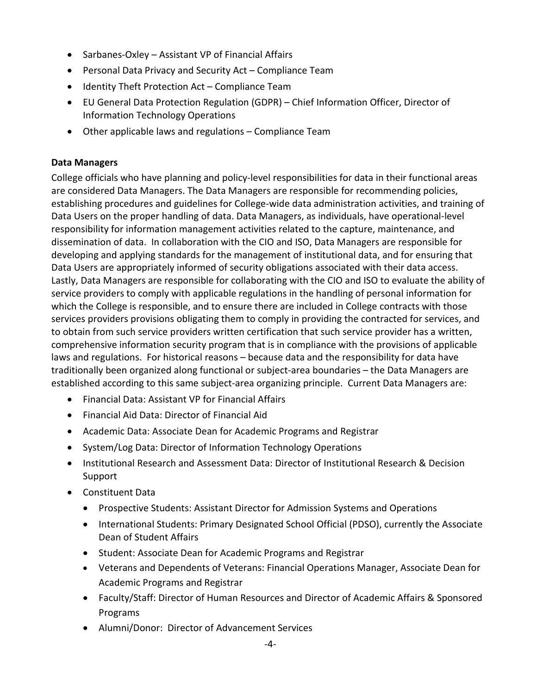- Sarbanes-Oxley Assistant VP of Financial Affairs
- Personal Data Privacy and Security Act Compliance Team
- Identity Theft Protection Act Compliance Team
- EU General Data Protection Regulation (GDPR) Chief Information Officer, Director of Information Technology Operations
- Other applicable laws and regulations Compliance Team

#### **Data Managers**

College officials who have planning and policy-level responsibilities for data in their functional areas are considered Data Managers. The Data Managers are responsible for recommending policies, establishing procedures and guidelines for College-wide data administration activities, and training of Data Users on the proper handling of data. Data Managers, as individuals, have operational-level responsibility for information management activities related to the capture, maintenance, and dissemination of data. In collaboration with the CIO and ISO, Data Managers are responsible for developing and applying standards for the management of institutional data, and for ensuring that Data Users are appropriately informed of security obligations associated with their data access. Lastly, Data Managers are responsible for collaborating with the CIO and ISO to evaluate the ability of service providers to comply with applicable regulations in the handling of personal information for which the College is responsible, and to ensure there are included in College contracts with those services providers provisions obligating them to comply in providing the contracted for services, and to obtain from such service providers written certification that such service provider has a written, comprehensive information security program that is in compliance with the provisions of applicable laws and regulations. For historical reasons – because data and the responsibility for data have traditionally been organized along functional or subject-area boundaries – the Data Managers are established according to this same subject-area organizing principle. Current Data Managers are:

- Financial Data: Assistant VP for Financial Affairs
- Financial Aid Data: Director of Financial Aid
- Academic Data: Associate Dean for Academic Programs and Registrar
- System/Log Data: Director of Information Technology Operations
- Institutional Research and Assessment Data: Director of Institutional Research & Decision Support
- Constituent Data
	- Prospective Students: Assistant Director for Admission Systems and Operations
	- International Students: Primary Designated School Official (PDSO), currently the Associate Dean of Student Affairs
	- Student: Associate Dean for Academic Programs and Registrar
	- Veterans and Dependents of Veterans: Financial Operations Manager, Associate Dean for Academic Programs and Registrar
	- Faculty/Staff: Director of Human Resources and Director of Academic Affairs & Sponsored Programs
	- Alumni/Donor: Director of Advancement Services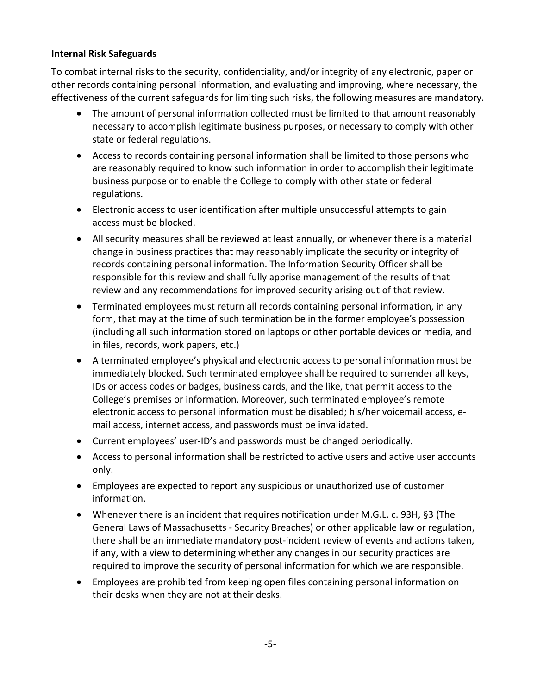#### **Internal Risk Safeguards**

To combat internal risks to the security, confidentiality, and/or integrity of any electronic, paper or other records containing personal information, and evaluating and improving, where necessary, the effectiveness of the current safeguards for limiting such risks, the following measures are mandatory.

- The amount of personal information collected must be limited to that amount reasonably necessary to accomplish legitimate business purposes, or necessary to comply with other state or federal regulations.
- Access to records containing personal information shall be limited to those persons who are reasonably required to know such information in order to accomplish their legitimate business purpose or to enable the College to comply with other state or federal regulations.
- Electronic access to user identification after multiple unsuccessful attempts to gain access must be blocked.
- All security measures shall be reviewed at least annually, or whenever there is a material change in business practices that may reasonably implicate the security or integrity of records containing personal information. The Information Security Officer shall be responsible for this review and shall fully apprise management of the results of that review and any recommendations for improved security arising out of that review.
- Terminated employees must return all records containing personal information, in any form, that may at the time of such termination be in the former employee's possession (including all such information stored on laptops or other portable devices or media, and in files, records, work papers, etc.)
- A terminated employee's physical and electronic access to personal information must be immediately blocked. Such terminated employee shall be required to surrender all keys, IDs or access codes or badges, business cards, and the like, that permit access to the College's premises or information. Moreover, such terminated employee's remote electronic access to personal information must be disabled; his/her voicemail access, email access, internet access, and passwords must be invalidated.
- Current employees' user-ID's and passwords must be changed periodically.
- Access to personal information shall be restricted to active users and active user accounts only.
- Employees are expected to report any suspicious or unauthorized use of customer information.
- Whenever there is an incident that requires notification under M.G.L. c. 93H, §3 (The General Laws of Massachusetts - Security Breaches) or other applicable law or regulation, there shall be an immediate mandatory post-incident review of events and actions taken, if any, with a view to determining whether any changes in our security practices are required to improve the security of personal information for which we are responsible.
- Employees are prohibited from keeping open files containing personal information on their desks when they are not at their desks.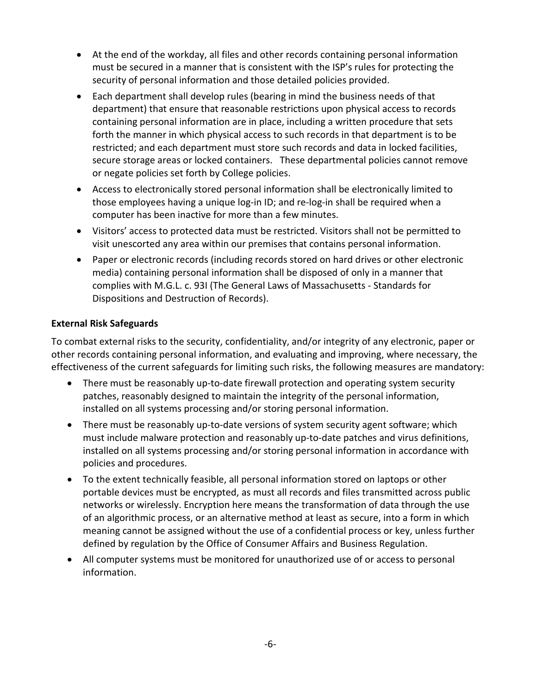- At the end of the workday, all files and other records containing personal information must be secured in a manner that is consistent with the ISP's rules for protecting the security of personal information and those detailed policies provided.
- Each department shall develop rules (bearing in mind the business needs of that department) that ensure that reasonable restrictions upon physical access to records containing personal information are in place, including a written procedure that sets forth the manner in which physical access to such records in that department is to be restricted; and each department must store such records and data in locked facilities, secure storage areas or locked containers. These departmental policies cannot remove or negate policies set forth by College policies.
- Access to electronically stored personal information shall be electronically limited to those employees having a unique log-in ID; and re-log-in shall be required when a computer has been inactive for more than a few minutes.
- Visitors' access to protected data must be restricted. Visitors shall not be permitted to visit unescorted any area within our premises that contains personal information.
- Paper or electronic records (including records stored on hard drives or other electronic media) containing personal information shall be disposed of only in a manner that complies with M.G.L. c. 93I (The General Laws of Massachusetts - Standards for Dispositions and Destruction of Records).

## **External Risk Safeguards**

To combat external risks to the security, confidentiality, and/or integrity of any electronic, paper or other records containing personal information, and evaluating and improving, where necessary, the effectiveness of the current safeguards for limiting such risks, the following measures are mandatory:

- There must be reasonably up-to-date firewall protection and operating system security patches, reasonably designed to maintain the integrity of the personal information, installed on all systems processing and/or storing personal information.
- There must be reasonably up-to-date versions of system security agent software; which must include malware protection and reasonably up-to-date patches and virus definitions, installed on all systems processing and/or storing personal information in accordance with policies and procedures.
- To the extent technically feasible, all personal information stored on laptops or other portable devices must be encrypted, as must all records and files transmitted across public networks or wirelessly. Encryption here means the transformation of data through the use of an algorithmic process, or an alternative method at least as secure, into a form in which meaning cannot be assigned without the use of a confidential process or key, unless further defined by regulation by the Office of Consumer Affairs and Business Regulation.
- All computer systems must be monitored for unauthorized use of or access to personal information.